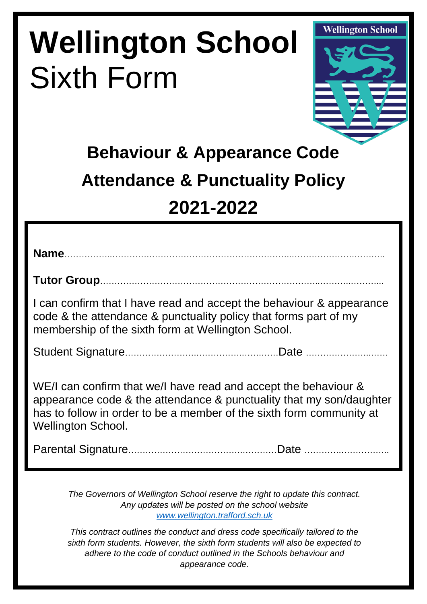# **Wellington School**  Sixth Form



# **Behaviour & Appearance Code Attendance & Punctuality Policy 2021-2022**

**Name**……………..………….…………………………………………..………………….………..

**Tutor Group**…………………………………………………………………..………..………...

I can confirm that I have read and accept the behaviour & appearance code & the attendance & punctuality policy that forms part of my membership of the sixth form at Wellington School.

Student Signature…………………….…………….…….……Date …………………..……

WE/I can confirm that we/I have read and accept the behaviour & appearance code & the attendance & punctuality that my son/daughter has to follow in order to be a member of the sixth form community at Wellington School.

Parental Signature………………………………….…………Date ………….……………..

*The Governors of Wellington School reserve the right to update this contract. Any updates will be posted on the school website [www.wellington.trafford.sch.uk](http://www.wellington.trafford.sch.uk/)*

*This contract outlines the conduct and dress code specifically tailored to the sixth form students. However, the sixth form students will also be expected to adhere to the code of conduct outlined in the Schools behaviour and appearance code.*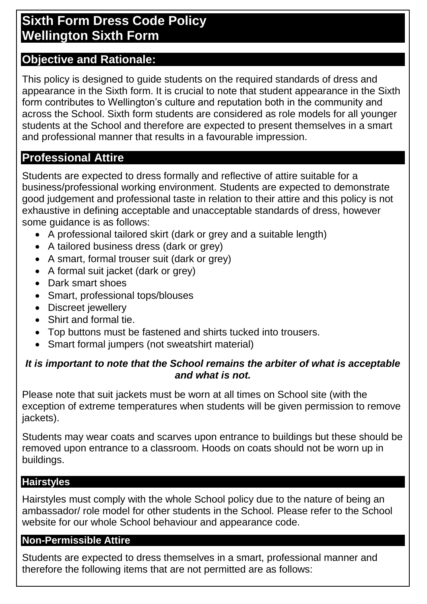# **Sixth Form Dress Code Policy Wellington Sixth Form**

#### **Objective and Rationale:**

This policy is designed to guide students on the required standards of dress and appearance in the Sixth form. It is crucial to note that student appearance in the Sixth form contributes to Wellington's culture and reputation both in the community and across the School. Sixth form students are considered as role models for all younger students at the School and therefore are expected to present themselves in a smart and professional manner that results in a favourable impression.

# **Professional Attire**

Students are expected to dress formally and reflective of attire suitable for a business/professional working environment. Students are expected to demonstrate good judgement and professional taste in relation to their attire and this policy is not exhaustive in defining acceptable and unacceptable standards of dress, however some guidance is as follows:

- A professional tailored skirt (dark or grey and a suitable length)
- A tailored business dress (dark or grey)
- A smart, formal trouser suit (dark or grey)
- A formal suit jacket (dark or grey)
- Dark smart shoes
- Smart, professional tops/blouses
- Discreet jewellery
- Shirt and formal tie.
- Top buttons must be fastened and shirts tucked into trousers.
- Smart formal jumpers (not sweatshirt material)

#### *It is important to note that the School remains the arbiter of what is acceptable and what is not.*

Please note that suit jackets must be worn at all times on School site (with the exception of extreme temperatures when students will be given permission to remove jackets).

Students may wear coats and scarves upon entrance to buildings but these should be removed upon entrance to a classroom. Hoods on coats should not be worn up in buildings.

#### **Hairstyles**

Hairstyles must comply with the whole School policy due to the nature of being an ambassador/ role model for other students in the School. Please refer to the School website for our whole School behaviour and appearance code.

#### **Non-Permissible Attire**

Students are expected to dress themselves in a smart, professional manner and therefore the following items that are not permitted are as follows: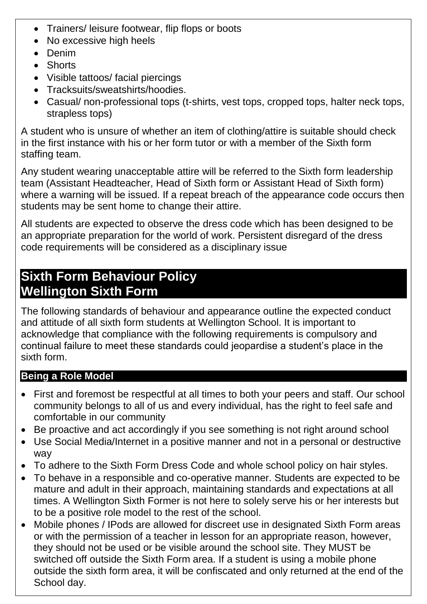- Trainers/ leisure footwear, flip flops or boots
- No excessive high heels
- Denim
- Shorts
- Visible tattoos/ facial piercings
- Tracksuits/sweatshirts/hoodies.
- Casual/ non-professional tops (t-shirts, vest tops, cropped tops, halter neck tops, strapless tops)

A student who is unsure of whether an item of clothing/attire is suitable should check in the first instance with his or her form tutor or with a member of the Sixth form staffing team.

Any student wearing unacceptable attire will be referred to the Sixth form leadership team (Assistant Headteacher, Head of Sixth form or Assistant Head of Sixth form) where a warning will be issued. If a repeat breach of the appearance code occurs then students may be sent home to change their attire.

All students are expected to observe the dress code which has been designed to be an appropriate preparation for the world of work. Persistent disregard of the dress code requirements will be considered as a disciplinary issue

# **Sixth Form Behaviour Policy Wellington Sixth Form**

The following standards of behaviour and appearance outline the expected conduct and attitude of all sixth form students at Wellington School. It is important to acknowledge that compliance with the following requirements is compulsory and continual failure to meet these standards could jeopardise a student's place in the sixth form.

#### **Being a Role Model**

- First and foremost be respectful at all times to both your peers and staff. Our school community belongs to all of us and every individual, has the right to feel safe and comfortable in our community
- Be proactive and act accordingly if you see something is not right around school
- Use Social Media/Internet in a positive manner and not in a personal or destructive way
- To adhere to the Sixth Form Dress Code and whole school policy on hair styles.
- To behave in a responsible and co-operative manner. Students are expected to be mature and adult in their approach, maintaining standards and expectations at all times. A Wellington Sixth Former is not here to solely serve his or her interests but to be a positive role model to the rest of the school.
- Mobile phones / IPods are allowed for discreet use in designated Sixth Form areas or with the permission of a teacher in lesson for an appropriate reason, however, they should not be used or be visible around the school site. They MUST be switched off outside the Sixth Form area. If a student is using a mobile phone outside the sixth form area, it will be confiscated and only returned at the end of the School day.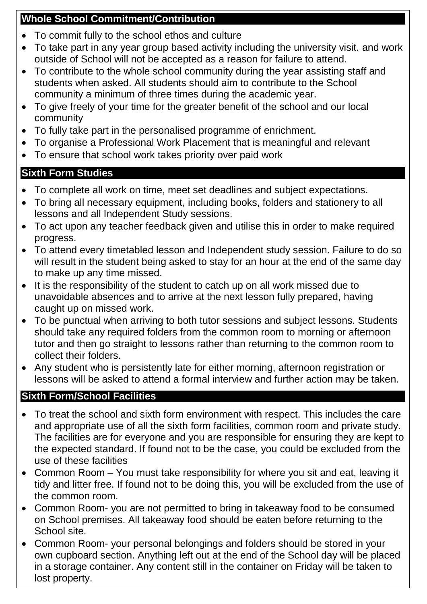#### **Whole School Commitment/Contribution**

- To commit fully to the school ethos and culture
- To take part in any year group based activity including the university visit. and work outside of School will not be accepted as a reason for failure to attend.
- To contribute to the whole school community during the year assisting staff and students when asked. All students should aim to contribute to the School community a minimum of three times during the academic year.
- To give freely of your time for the greater benefit of the school and our local community
- To fully take part in the personalised programme of enrichment.
- To organise a Professional Work Placement that is meaningful and relevant
- To ensure that school work takes priority over paid work

# **Sixth Form Studies**

- To complete all work on time, meet set deadlines and subject expectations.
- To bring all necessary equipment, including books, folders and stationery to all lessons and all Independent Study sessions.
- To act upon any teacher feedback given and utilise this in order to make required progress.
- To attend every timetabled lesson and Independent study session. Failure to do so will result in the student being asked to stay for an hour at the end of the same day to make up any time missed.
- It is the responsibility of the student to catch up on all work missed due to unavoidable absences and to arrive at the next lesson fully prepared, having caught up on missed work.
- To be punctual when arriving to both tutor sessions and subject lessons. Students should take any required folders from the common room to morning or afternoon tutor and then go straight to lessons rather than returning to the common room to collect their folders.
- Any student who is persistently late for either morning, afternoon registration or lessons will be asked to attend a formal interview and further action may be taken.

# **Sixth Form/School Facilities**

- To treat the school and sixth form environment with respect. This includes the care and appropriate use of all the sixth form facilities, common room and private study. The facilities are for everyone and you are responsible for ensuring they are kept to the expected standard. If found not to be the case, you could be excluded from the use of these facilities
- Common Room You must take responsibility for where you sit and eat, leaving it tidy and litter free. If found not to be doing this, you will be excluded from the use of the common room.
- Common Room- you are not permitted to bring in takeaway food to be consumed on School premises. All takeaway food should be eaten before returning to the School site.
- Common Room- your personal belongings and folders should be stored in your own cupboard section. Anything left out at the end of the School day will be placed in a storage container. Any content still in the container on Friday will be taken to lost property.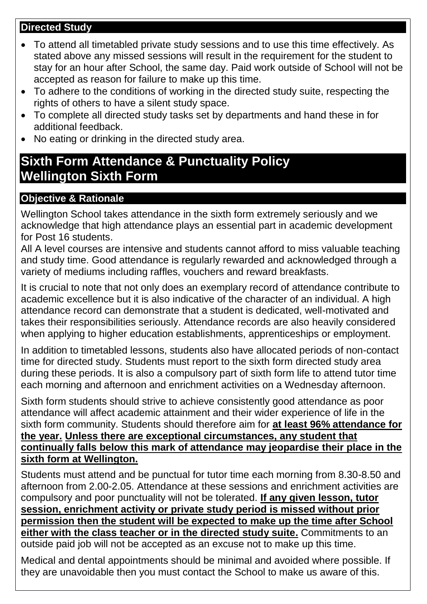#### **Directed Study**

- To attend all timetabled private study sessions and to use this time effectively. As stated above any missed sessions will result in the requirement for the student to stay for an hour after School, the same day. Paid work outside of School will not be accepted as reason for failure to make up this time.
- To adhere to the conditions of working in the directed study suite, respecting the rights of others to have a silent study space.
- To complete all directed study tasks set by departments and hand these in for additional feedback.
- No eating or drinking in the directed study area.

# **Sixth Form Attendance & Punctuality Policy Wellington Sixth Form**

#### **Objective & Rationale**

Wellington School takes attendance in the sixth form extremely seriously and we acknowledge that high attendance plays an essential part in academic development for Post 16 students.

All A level courses are intensive and students cannot afford to miss valuable teaching and study time. Good attendance is regularly rewarded and acknowledged through a variety of mediums including raffles, vouchers and reward breakfasts.

It is crucial to note that not only does an exemplary record of attendance contribute to academic excellence but it is also indicative of the character of an individual. A high attendance record can demonstrate that a student is dedicated, well-motivated and takes their responsibilities seriously. Attendance records are also heavily considered when applying to higher education establishments, apprenticeships or employment.

In addition to timetabled lessons, students also have allocated periods of non-contact time for directed study. Students must report to the sixth form directed study area during these periods. It is also a compulsory part of sixth form life to attend tutor time each morning and afternoon and enrichment activities on a Wednesday afternoon.

Sixth form students should strive to achieve consistently good attendance as poor attendance will affect academic attainment and their wider experience of life in the sixth form community. Students should therefore aim for **at least 96% attendance for the year. Unless there are exceptional circumstances, any student that continually falls below this mark of attendance may jeopardise their place in the sixth form at Wellington.** 

Students must attend and be punctual for tutor time each morning from 8.30-8.50 and afternoon from 2.00-2.05. Attendance at these sessions and enrichment activities are compulsory and poor punctuality will not be tolerated. **If any given lesson, tutor session, enrichment activity or private study period is missed without prior permission then the student will be expected to make up the time after School either with the class teacher or in the directed study suite.** Commitments to an outside paid job will not be accepted as an excuse not to make up this time.

Medical and dental appointments should be minimal and avoided where possible. If they are unavoidable then you must contact the School to make us aware of this.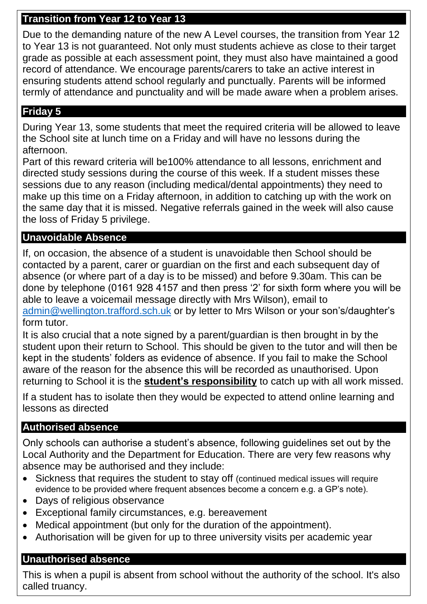#### **Transition from Year 12 to Year 13**

Due to the demanding nature of the new A Level courses, the transition from Year 12 to Year 13 is not guaranteed. Not only must students achieve as close to their target grade as possible at each assessment point, they must also have maintained a good record of attendance. We encourage parents/carers to take an active interest in ensuring students attend school regularly and punctually. Parents will be informed termly of attendance and punctuality and will be made aware when a problem arises.

#### **Friday 5**

During Year 13, some students that meet the required criteria will be allowed to leave the School site at lunch time on a Friday and will have no lessons during the afternoon.

Part of this reward criteria will be100% attendance to all lessons, enrichment and directed study sessions during the course of this week. If a student misses these sessions due to any reason (including medical/dental appointments) they need to make up this time on a Friday afternoon, in addition to catching up with the work on the same day that it is missed. Negative referrals gained in the week will also cause the loss of Friday 5 privilege.

#### **Unavoidable Absence**

If, on occasion, the absence of a student is unavoidable then School should be contacted by a parent, carer or guardian on the first and each subsequent day of absence (or where part of a day is to be missed) and before 9.30am. This can be done by telephone (0161 928 4157 and then press '2' for sixth form where you will be able to leave a voicemail message directly with Mrs Wilson), email to [admin@wellington.trafford.sch.uk](mailto:admin@wellington.trafford.sch.uk) or by letter to Mrs Wilson or your son's/daughter's form tutor.

It is also crucial that a note signed by a parent/guardian is then brought in by the student upon their return to School. This should be given to the tutor and will then be kept in the students' folders as evidence of absence. If you fail to make the School aware of the reason for the absence this will be recorded as unauthorised. Upon returning to School it is the **student's responsibility** to catch up with all work missed.

If a student has to isolate then they would be expected to attend online learning and lessons as directed

#### **Authorised absence**

Only schools can authorise a student's absence, following guidelines set out by the Local Authority and the Department for Education. There are very few reasons why absence may be authorised and they include:

- Sickness that requires the student to stay off (continued medical issues will require evidence to be provided where frequent absences become a concern e.g. a GP's note).
- Days of religious observance
- Exceptional family circumstances, e.g. bereavement
- Medical appointment (but only for the duration of the appointment).
- Authorisation will be given for up to three university visits per academic year

#### **Unauthorised absence**

This is when a pupil is absent from school without the authority of the school. It's also called truancy.